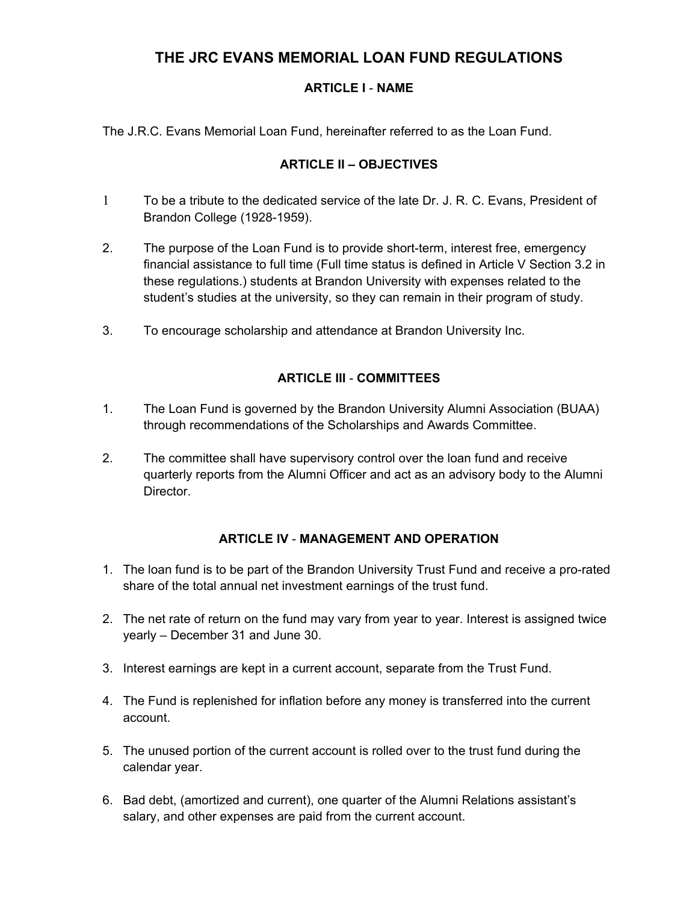# **THE JRC EVANS MEMORIAL LOAN FUND REGULATIONS**

# **ARTICLE I** - **NAME**

The J.R.C. Evans Memorial Loan Fund, hereinafter referred to as the Loan Fund.

## **ARTICLE II – OBJECTIVES**

- 1 To be a tribute to the dedicated service of the late Dr. J. R. C. Evans, President of Brandon College (1928-1959).
- 2. The purpose of the Loan Fund is to provide short-term, interest free, emergency financial assistance to full time (Full time status is defined in Article V Section 3.2 in these regulations.) students at Brandon University with expenses related to the student's studies at the university, so they can remain in their program of study.
- 3. To encourage scholarship and attendance at Brandon University Inc.

# **ARTICLE III** - **COMMITTEES**

- 1. The Loan Fund is governed by the Brandon University Alumni Association (BUAA) through recommendations of the Scholarships and Awards Committee.
- 2. The committee shall have supervisory control over the loan fund and receive quarterly reports from the Alumni Officer and act as an advisory body to the Alumni **Director**

# **ARTICLE IV** - **MANAGEMENT AND OPERATION**

- 1. The loan fund is to be part of the Brandon University Trust Fund and receive a pro-rated share of the total annual net investment earnings of the trust fund.
- 2. The net rate of return on the fund may vary from year to year. Interest is assigned twice yearly – December 31 and June 30.
- 3. Interest earnings are kept in a current account, separate from the Trust Fund.
- 4. The Fund is replenished for inflation before any money is transferred into the current account.
- 5. The unused portion of the current account is rolled over to the trust fund during the calendar year.
- 6. Bad debt, (amortized and current), one quarter of the Alumni Relations assistant's salary, and other expenses are paid from the current account.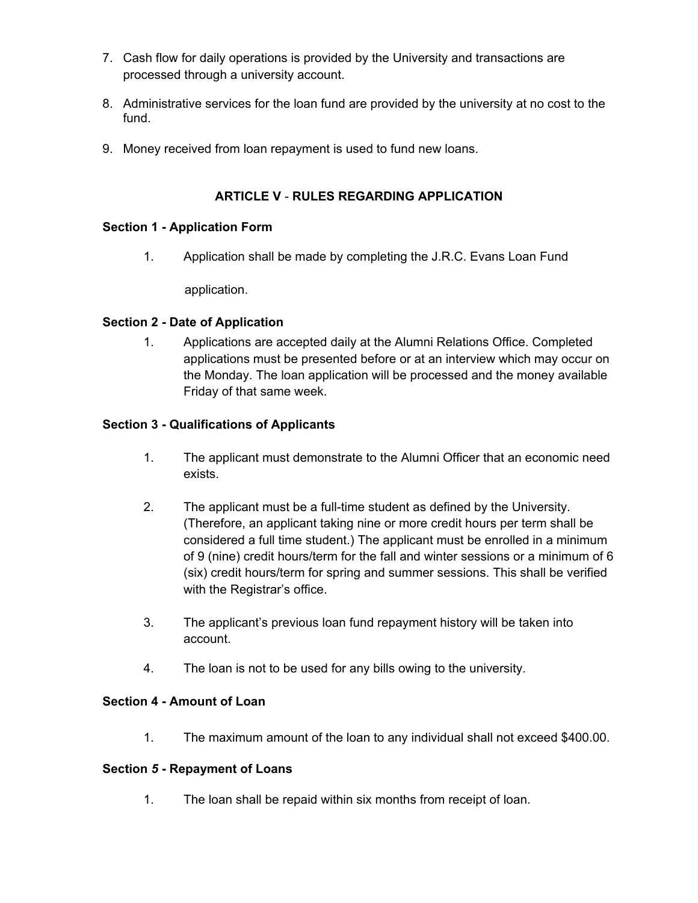- 7. Cash flow for daily operations is provided by the University and transactions are processed through a university account.
- 8. Administrative services for the loan fund are provided by the university at no cost to the fund.
- 9. Money received from loan repayment is used to fund new loans.

## **ARTICLE V** - **RULES REGARDING APPLICATION**

#### **Section 1 - Application Form**

1. Application shall be made by completing the J.R.C. Evans Loan Fund

application.

#### **Section 2 - Date of Application**

1. Applications are accepted daily at the Alumni Relations Office. Completed applications must be presented before or at an interview which may occur on the Monday. The loan application will be processed and the money available Friday of that same week.

## **Section 3 - Qualifications of Applicants**

- 1. The applicant must demonstrate to the Alumni Officer that an economic need exists.
- 2. The applicant must be a full-time student as defined by the University. (Therefore, an applicant taking nine or more credit hours per term shall be considered a full time student.) The applicant must be enrolled in a minimum of 9 (nine) credit hours/term for the fall and winter sessions or a minimum of 6 (six) credit hours/term for spring and summer sessions. This shall be verified with the Registrar's office.
- 3. The applicant's previous loan fund repayment history will be taken into account.
- 4. The loan is not to be used for any bills owing to the university.

#### **Section 4 - Amount of Loan**

1. The maximum amount of the loan to any individual shall not exceed \$400.00.

#### **Section** *5* **- Repayment of Loans**

1. The loan shall be repaid within six months from receipt of loan.